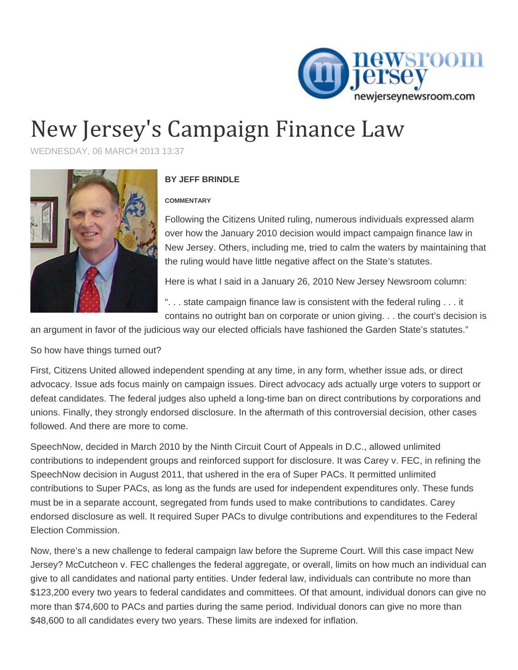

## New Jersey's Campaign Finance Law

WEDNESDAY, 06 MARCH 2013 13:37



## **BY JEFF BRINDLE**

## **COMMENTARY**

Following the Citizens United ruling, numerous individuals expressed alarm over how the January 2010 decision would impact campaign finance law in New Jersey. Others, including me, tried to calm the waters by maintaining that the ruling would have little negative affect on the State's statutes.

Here is what I said in a January 26, 2010 New Jersey Newsroom column:

". . . state campaign finance law is consistent with the federal ruling . . . it contains no outright ban on corporate or union giving. . . the court's decision is

an argument in favor of the judicious way our elected officials have fashioned the Garden State's statutes."

So how have things turned out?

First, Citizens United allowed independent spending at any time, in any form, whether issue ads, or direct advocacy. Issue ads focus mainly on campaign issues. Direct advocacy ads actually urge voters to support or defeat candidates. The federal judges also upheld a long-time ban on direct contributions by corporations and unions. Finally, they strongly endorsed disclosure. In the aftermath of this controversial decision, other cases followed. And there are more to come.

SpeechNow, decided in March 2010 by the Ninth Circuit Court of Appeals in D.C., allowed unlimited contributions to independent groups and reinforced support for disclosure. It was Carey v. FEC, in refining the SpeechNow decision in August 2011, that ushered in the era of Super PACs. It permitted unlimited contributions to Super PACs, as long as the funds are used for independent expenditures only. These funds must be in a separate account, segregated from funds used to make contributions to candidates. Carey endorsed disclosure as well. It required Super PACs to divulge contributions and expenditures to the Federal Election Commission.

Now, there's a new challenge to federal campaign law before the Supreme Court. Will this case impact New Jersey? McCutcheon v. FEC challenges the federal aggregate, or overall, limits on how much an individual can give to all candidates and national party entities. Under federal law, individuals can contribute no more than \$123,200 every two years to federal candidates and committees. Of that amount, individual donors can give no more than \$74,600 to PACs and parties during the same period. Individual donors can give no more than \$48,600 to all candidates every two years. These limits are indexed for inflation.